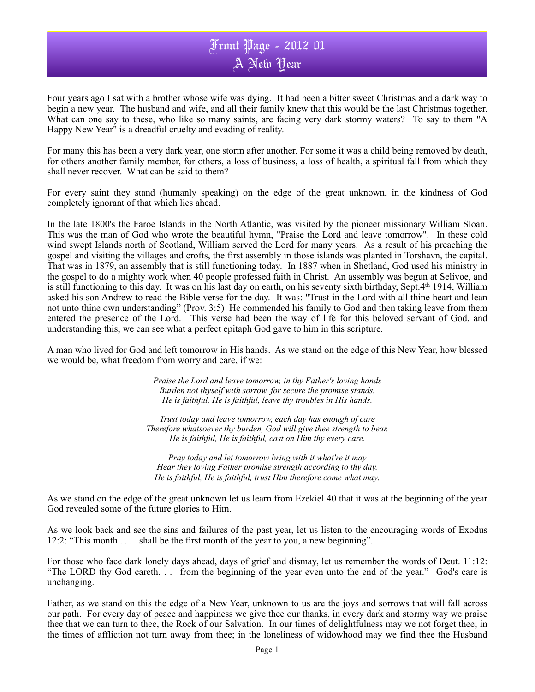## Front Page - 2012 01 A New Year

Four years ago I sat with a brother whose wife was dying. It had been a bitter sweet Christmas and a dark way to begin a new year. The husband and wife, and all their family knew that this would be the last Christmas together. What can one say to these, who like so many saints, are facing very dark stormy waters? To say to them "A Happy New Year" is a dreadful cruelty and evading of reality.

For many this has been a very dark year, one storm after another. For some it was a child being removed by death, for others another family member, for others, a loss of business, a loss of health, a spiritual fall from which they shall never recover. What can be said to them?

For every saint they stand (humanly speaking) on the edge of the great unknown, in the kindness of God completely ignorant of that which lies ahead.

In the late 1800's the Faroe Islands in the North Atlantic, was visited by the pioneer missionary William Sloan. This was the man of God who wrote the beautiful hymn, "Praise the Lord and leave tomorrow". In these cold wind swept Islands north of Scotland, William served the Lord for many years. As a result of his preaching the gospel and visiting the villages and crofts, the first assembly in those islands was planted in Torshavn, the capital. That was in 1879, an assembly that is still functioning today. In 1887 when in Shetland, God used his ministry in the gospel to do a mighty work when 40 people professed faith in Christ. An assembly was begun at Selivoe, and is still functioning to this day. It was on his last day on earth, on his seventy sixth birthday, Sept.4th 1914, William asked his son Andrew to read the Bible verse for the day. It was: "Trust in the Lord with all thine heart and lean not unto thine own understanding" (Prov. 3:5) He commended his family to God and then taking leave from them entered the presence of the Lord. This verse had been the way of life for this beloved servant of God, and understanding this, we can see what a perfect epitaph God gave to him in this scripture.

A man who lived for God and left tomorrow in His hands. As we stand on the edge of this New Year, how blessed we would be, what freedom from worry and care, if we:

> *Praise the Lord and leave tomorrow, in thy Father's loving hands Burden not thyself with sorrow, for secure the promise stands. He is faithful, He is faithful, leave thy troubles in His hands.*

*Trust today and leave tomorrow, each day has enough of care Therefore whatsoever thy burden, God will give thee strength to bear. He is faithful, He is faithful, cast on Him thy every care.*

*Pray today and let tomorrow bring with it what're it may Hear they loving Father promise strength according to thy day. He is faithful, He is faithful, trust Him therefore come what may.*

As we stand on the edge of the great unknown let us learn from Ezekiel 40 that it was at the beginning of the year God revealed some of the future glories to Him.

As we look back and see the sins and failures of the past year, let us listen to the encouraging words of Exodus 12:2: "This month . . . shall be the first month of the year to you, a new beginning".

For those who face dark lonely days ahead, days of grief and dismay, let us remember the words of Deut. 11:12: "The LORD thy God careth. . . from the beginning of the year even unto the end of the year." God's care is unchanging.

Father, as we stand on this the edge of a New Year, unknown to us are the joys and sorrows that will fall across our path. For every day of peace and happiness we give thee our thanks, in every dark and stormy way we praise thee that we can turn to thee, the Rock of our Salvation. In our times of delightfulness may we not forget thee; in the times of affliction not turn away from thee; in the loneliness of widowhood may we find thee the Husband